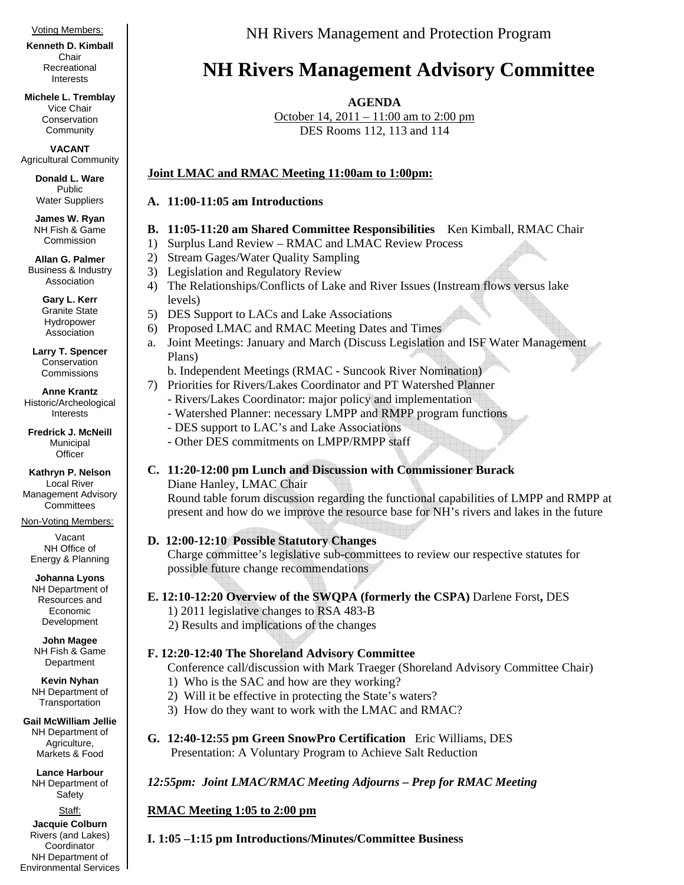#### Voting Members:

**Kenneth D. Kimball**  Chair Recreational Interests

**Michele L. Tremblay**  Vice Chair Conservation **Community** 

**VACANT**  Agricultural Community

> **Donald L. Ware**  Public Water Suppliers

**James W. Ryan**  NH Fish & Game Commission

**Allan G. Palmer**  Business & Industry Association

> **Gary L. Kerr**  Granite State Hydropower Association

**Larry T. Spencer**  Conservation **Commissions** 

**Anne Krantz**  Historic/Archeological Interests

**Fredrick J. McNeill**  Municipal **Officer** 

**Kathryn P. Nelson**  Local River Management Advisory **Committees** 

Non-Voting Members:

Vacant NH Office of Energy & Planning

**Johanna Lyons**  NH Department of Resources and Economic Development

**John Magee**  NH Fish & Game Department

**Kevin Nyhan**  NH Department of **Transportation** 

**Gail McWilliam Jellie**  NH Department of Agriculture, Markets & Food

**Lance Harbour**  NH Department of Safety

Staff: **Jacquie Colburn**  Rivers (and Lakes) **Coordinator** NH Department of Environmental Services NH Rivers Management and Protection Program

# **NH Rivers Management Advisory Committee**

**AGENDA** 

October 14, 2011 – 11:00 am to 2:00 pm DES Rooms 112, 113 and 114

# **Joint LMAC and RMAC Meeting 11:00am to 1:00pm:**

### **A. 11:00-11:05 am Introductions**

# **B. 11:05-11:20 am Shared Committee Responsibilities** Ken Kimball, RMAC Chair

- 1) Surplus Land Review RMAC and LMAC Review Process
- 2) Stream Gages/Water Quality Sampling
- 3) Legislation and Regulatory Review
- 4) The Relationships/Conflicts of Lake and River Issues (Instream flows versus lake levels)
- 5) DES Support to LACs and Lake Associations
- 6) Proposed LMAC and RMAC Meeting Dates and Times
- a. Joint Meetings: January and March (Discuss Legislation and ISF Water Management Plans)
	- b. Independent Meetings (RMAC Suncook River Nomination)
- 7) Priorities for Rivers/Lakes Coordinator and PT Watershed Planner
	- Rivers/Lakes Coordinator: major policy and implementation
		- Watershed Planner: necessary LMPP and RMPP program functions
		- DES support to LAC's and Lake Associations
	- Other DES commitments on LMPP/RMPP staff
- **C. 11:20-12:00 pm Lunch and Discussion with Commissioner Burack** 
	- Diane Hanley, LMAC Chair

Round table forum discussion regarding the functional capabilities of LMPP and RMPP at present and how do we improve the resource base for NH's rivers and lakes in the future

# **D. 12:00-12:10 Possible Statutory Changes**

Charge committee's legislative sub-committees to review our respective statutes for possible future change recommendations

# **E. 12:10-12:20 Overview of the SWQPA (formerly the CSPA)** Darlene Forst**,** DES

- 1) 2011 legislative changes to RSA 483-B
- 2) Results and implications of the changes

# **F. 12:20-12:40 The Shoreland Advisory Committee**

Conference call/discussion with Mark Traeger (Shoreland Advisory Committee Chair)

- 1) Who is the SAC and how are they working?
- 2) Will it be effective in protecting the State's waters?
- 3) How do they want to work with the LMAC and RMAC?
- **G. 12:40-12:55 pm Green SnowPro Certification** Eric Williams, DES Presentation: A Voluntary Program to Achieve Salt Reduction

# *12:55pm: Joint LMAC/RMAC Meeting Adjourns – Prep for RMAC Meeting*

# **RMAC Meeting 1:05 to 2:00 pm**

**I. 1:05 –1:15 pm Introductions/Minutes/Committee Business**